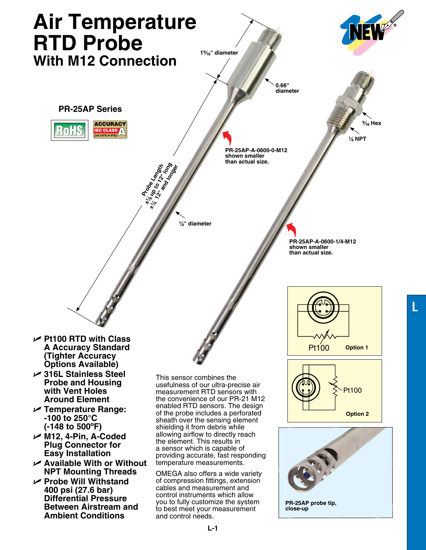

**L**